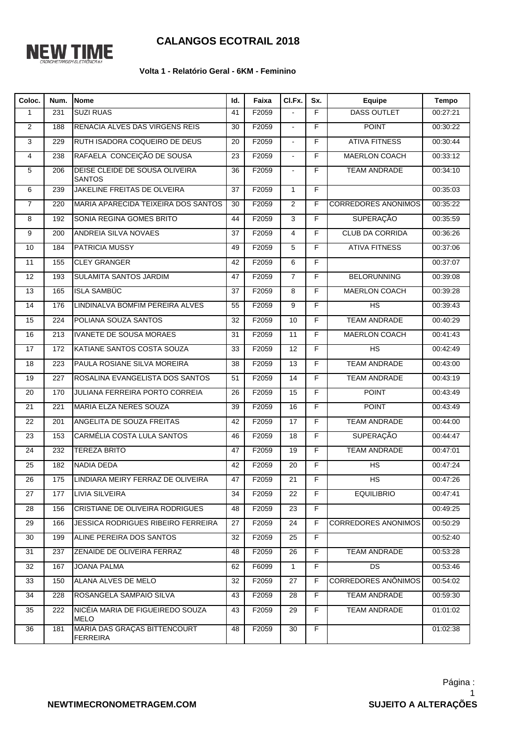

## **CALANGOS ECOTRAIL 2018**

## **Volta 1 - Relatório Geral - 6KM - Feminino**

| Coloc.          | Num.             | <b>Nome</b>                                     | Id.             | Faixa | CI.Fx.                   | Sx.            | Equipe                     | <b>Tempo</b> |
|-----------------|------------------|-------------------------------------------------|-----------------|-------|--------------------------|----------------|----------------------------|--------------|
| $\mathbf{1}$    | 231              | <b>SUZI RUAS</b>                                | 41              | F2059 |                          | $\overline{F}$ | <b>DASS OUTLET</b>         | 00:27:21     |
| $\overline{2}$  | 188              | RENACIA ALVES DAS VIRGENS REIS                  | 30              | F2059 | $\overline{\phantom{a}}$ | $\overline{F}$ | <b>POINT</b>               | 00:30:22     |
| 3               | 229              | RUTH ISADORA COQUEIRO DE DEUS                   | 20              | F2059 | $\overline{a}$           | F              | <b>ATIVA FITNESS</b>       | 00:30:44     |
| 4               | 238              | RAFAELA CONCEIÇÃO DE SOUSA                      | 23              | F2059 | $\sim$                   | F              | MAERLON COACH              | 00:33:12     |
| 5               | 206              | DEISE CLEIDE DE SOUSA OLIVEIRA<br><b>SANTOS</b> | 36              | F2059 |                          | F              | <b>TEAM ANDRADE</b>        | 00:34:10     |
| 6               | 239              | JAKELINE FREITAS DE OLVEIRA                     | 37              | F2059 | $\mathbf{1}$             | $\overline{F}$ |                            | 00:35:03     |
| $\overline{7}$  | 220              | MARIA APARECIDA TEIXEIRA DOS SANTOS             | 30              | F2059 | 2                        | F              | <b>CORREDORES ANONIMOS</b> | 00:35:22     |
| 8               | 192              | SONIA REGINA GOMES BRITO                        | 44              | F2059 | 3                        | F              | <b>SUPERAÇÃO</b>           | 00:35:59     |
| 9               | 200              | ANDREIA SILVA NOVAES                            | 37              | F2059 | 4                        | F              | <b>CLUB DA CORRIDA</b>     | 00:36:26     |
| 10              | 184              | <b>PATRICIA MUSSY</b>                           | 49              | F2059 | 5                        | F              | <b>ATIVA FITNESS</b>       | 00:37:06     |
| 11              | 155              | <b>CLEY GRANGER</b>                             | 42              | F2059 | 6                        | F              |                            | 00:37:07     |
| 12              | 193              | SULAMITA SANTOS JARDIM                          | 47              | F2059 | $\overline{7}$           | F              | <b>BELORUNNING</b>         | 00:39:08     |
| 13              | 165              | <b>ISLA SAMBÜC</b>                              | 37              | F2059 | 8                        | $\overline{F}$ | MAERLON COACH              | 00:39:28     |
| 14              | 176              | LINDINALVA BOMFIM PEREIRA ALVES                 | 55              | F2059 | 9                        | F              | HS                         | 00:39:43     |
| 15              | 224              | POLIANA SOUZA SANTOS                            | 32              | F2059 | 10                       | F              | <b>TEAM ANDRADE</b>        | 00:40:29     |
| 16              | $\overline{213}$ | <b>IVANETE DE SOUSA MORAES</b>                  | 31              | F2059 | $\overline{11}$          | F              | <b>MAERLON COACH</b>       | 00:41:43     |
| $\overline{17}$ | 172              | KATIANE SANTOS COSTA SOUZA                      | 33              | F2059 | $\overline{12}$          | $\overline{F}$ | HS                         | 00:42:49     |
| $\overline{18}$ | $\overline{223}$ | PAULA ROSIANE SILVA MOREIRA                     | 38              | F2059 | 13                       | F              | <b>TEAM ANDRADE</b>        | 00:43:00     |
| 19              | 227              | ROSALINA EVANGELISTA DOS SANTOS                 | 51              | F2059 | 14                       | $\overline{F}$ | <b>TEAM ANDRADE</b>        | 00:43:19     |
| 20              | 170              | JULIANA FERREIRA PORTO CORREIA                  | 26              | F2059 | 15                       | $\overline{F}$ | <b>POINT</b>               | 00:43:49     |
| 21              | 221              | MARIA ELZA NERES SOUZA                          | 39              | F2059 | 16                       | $\overline{F}$ | <b>POINT</b>               | 00:43:49     |
| 22              | 201              | ANGELITA DE SOUZA FREITAS                       | 42              | F2059 | 17                       | F              | <b>TEAM ANDRADE</b>        | 00:44:00     |
| 23              | 153              | CARMÉLIA COSTA LULA SANTOS                      | 46              | F2059 | 18                       | $\overline{F}$ | <b>SUPERAÇÃO</b>           | 00:44:47     |
| 24              | 232              | <b>TEREZA BRITO</b>                             | 47              | F2059 | $\overline{19}$          | $\overline{F}$ | <b>TEAM ANDRADE</b>        | 00:47:01     |
| $\overline{25}$ | 182              | <b>NADIA DEDA</b>                               | $\overline{42}$ | F2059 | $\overline{20}$          | $\overline{F}$ | HS                         | 00:47:24     |
| 26              | 175              | LINDIARA MEIRY FERRAZ DE OLIVEIRA               | 47              | F2059 | 21                       | F              | HS                         | 00:47:26     |
| 27              | 177              | <b>LIVIA SILVEIRA</b>                           | 34              | F2059 | 22                       | F              | <b>EQUILIBRIO</b>          | 00:47:41     |
| 28              | 156              | CRISTIANE DE OLIVEIRA RODRIGUES                 | 48              | F2059 | 23                       | F.             |                            | 00:49:25     |
| 29              | 166              | <b>JESSICA RODRIGUES RIBEIRO FERREIRA</b>       | 27              | F2059 | 24                       | F              | <b>CORREDORES ANONIMOS</b> | 00:50:29     |
| 30              | 199              | ALINE PEREIRA DOS SANTOS                        | 32              | F2059 | 25                       | F              |                            | 00:52:40     |
| 31              | 237              | ZENAIDE DE OLIVEIRA FERRAZ                      | 48              | F2059 | 26                       | F.             | <b>TEAM ANDRADE</b>        | 00:53:28     |
| 32              | 167              | JOANA PALMA                                     | 62              | F6099 | $\mathbf{1}$             | $\overline{F}$ | DS                         | 00:53:46     |
| 33              | 150              | ALANA ALVES DE MELO                             | 32              | F2059 | 27                       | F              | CORREDORES ANÔNIMOS        | 00:54:02     |
| 34              | 228              | ROSANGELA SAMPAIO SILVA                         | 43              | F2059 | 28                       | F              | <b>TEAM ANDRADE</b>        | 00:59:30     |
| 35              | 222              | NICÉIA MARIA DE FIGUEIREDO SOUZA<br><b>MELO</b> | 43              | F2059 | 29                       | F.             | <b>TEAM ANDRADE</b>        | 01:01:02     |
| 36              | 181              | MARIA DAS GRAÇAS BITTENCOURT<br><b>FERREIRA</b> | 48              | F2059 | 30                       | F              |                            | 01:02:38     |